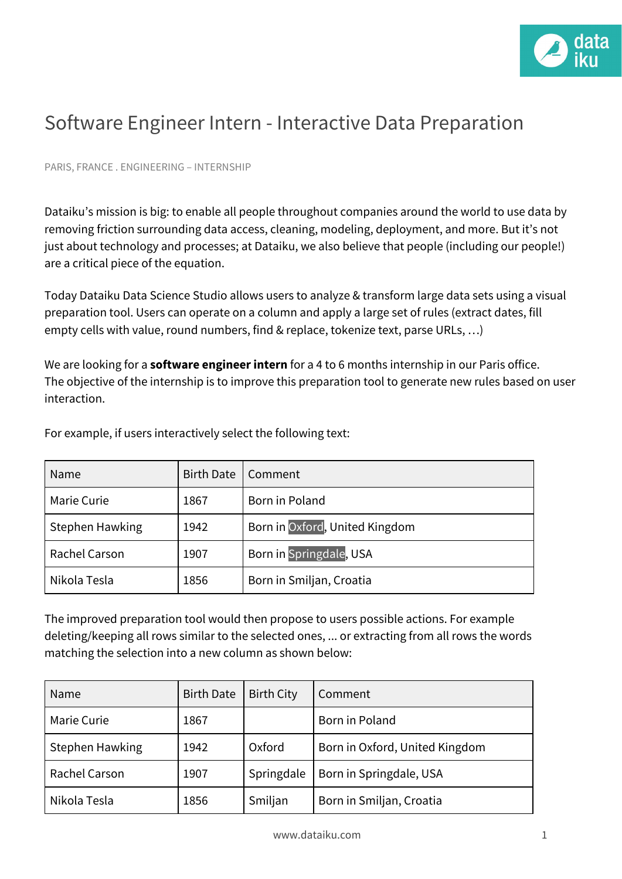

## Software Engineer Intern - Interactive Data Preparation

PARIS, FRANCE . ENGINEERING – INTERNSHIP

Dataiku's mission is big: to enable all people throughout companies around the world to use data by removing friction surrounding data access, cleaning, modeling, deployment, and more. But it's not just about technology and processes; at Dataiku, we also believe that people (including our people!) are a critical piece of the equation.

Today Dataiku Data Science Studio allows users to analyze & transform large data sets using a [visual](https://doc.dataiku.com/dss/latest/preparation/index.html) [preparation](https://doc.dataiku.com/dss/latest/preparation/index.html) tool. Users can operate on a column and apply a large set of rules (extract dates, fill empty cells with value, round numbers, find & replace, tokenize text, parse URLs, …)

We are looking for a **software engineer intern** for a 4 to 6 months internship in our Paris office. The objective of the internship is to improve this preparation tool to generate new rules based on user interaction.

| Name            | Birth Date | Comment                        |  |
|-----------------|------------|--------------------------------|--|
| Marie Curie     | 1867       | Born in Poland                 |  |
| Stephen Hawking | 1942       | Born in Oxford, United Kingdom |  |
| Rachel Carson   | 1907       | Born in Springdale, USA        |  |
| Nikola Tesla    | 1856       | Born in Smiljan, Croatia       |  |

For example, if users interactively select the following text:

The improved preparation tool would then propose to users possible actions. For example deleting/keeping all rows similar to the selected ones, ... or extracting from all rows the words matching the selection into a new column as shown below:

| Name            | <b>Birth Date</b> | <b>Birth City</b> | Comment                        |
|-----------------|-------------------|-------------------|--------------------------------|
| Marie Curie     | 1867              |                   | Born in Poland                 |
| Stephen Hawking | 1942              | Oxford            | Born in Oxford, United Kingdom |
| Rachel Carson   | 1907              | Springdale        | Born in Springdale, USA        |
| Nikola Tesla    | 1856              | Smiljan           | Born in Smiljan, Croatia       |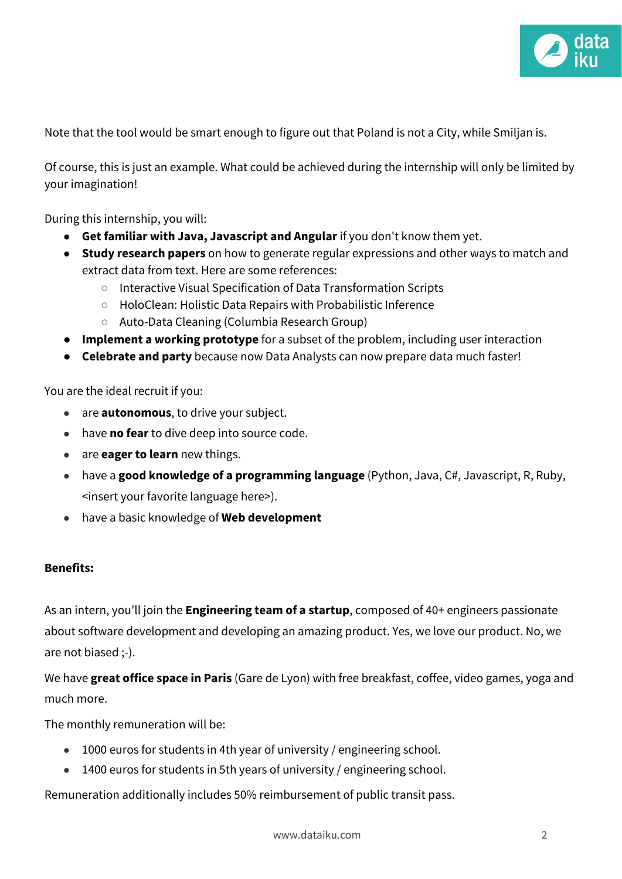

Note that the tool would be smart enough to figure out that Poland is not a City, while Smiljan is.

Of course, this is just an example. What could be achieved during the internship will only be limited by your imagination!

During this internship, you will:

- **Get familiar with Java, Javascript and Angular** if you don't know them yet.
- **Study research papers** on how to generate regular expressions and other ways to match and extract data from text. Here are some references:
	- Interactive Visual Specification of Data [Transformation](http://vis.stanford.edu/files/2011-Wrangler-CHI.pdf) Scripts
	- HoloClean: Holistic Data Repairs with [Probabilistic](http://www.vldb.org/pvldb/vol10/p1190-rekatsinas.pdf) Inference
	- Auto-Data Cleaning [\(Columbia](https://cudbg.github.io/lab/cleaning) Research Group)
- **Implement a working prototype** for a subset of the problem, including user interaction
- **Celebrate and party** because now Data Analysts can now prepare data much faster!

You are the ideal recruit if you:

- are **autonomous**, to drive your subject.
- have **no fear** to dive deep into source code.
- are **eager to learn** new things.
- have a **good knowledge of a programming language** (Python, Java, C#, Javascript, R, Ruby, <insert your favorite language here>).
- have a basic knowledge of **Web development**

## **Benefits:**

As an intern, you'll join the **Engineering team of a startup**, composed of 40+ engineers passionate about software development and developing an amazing product. Yes, we love our product. No, we are not biased ;-).

We have **great office space in Paris** (Gare de Lyon) with free breakfast, coffee, video games, yoga and much more.

The monthly remuneration will be:

- 1000 euros for students in 4th year of university / engineering school.
- 1400 euros for students in 5th years of university / engineering school.

Remuneration additionally includes 50% reimbursement of public transit pass.